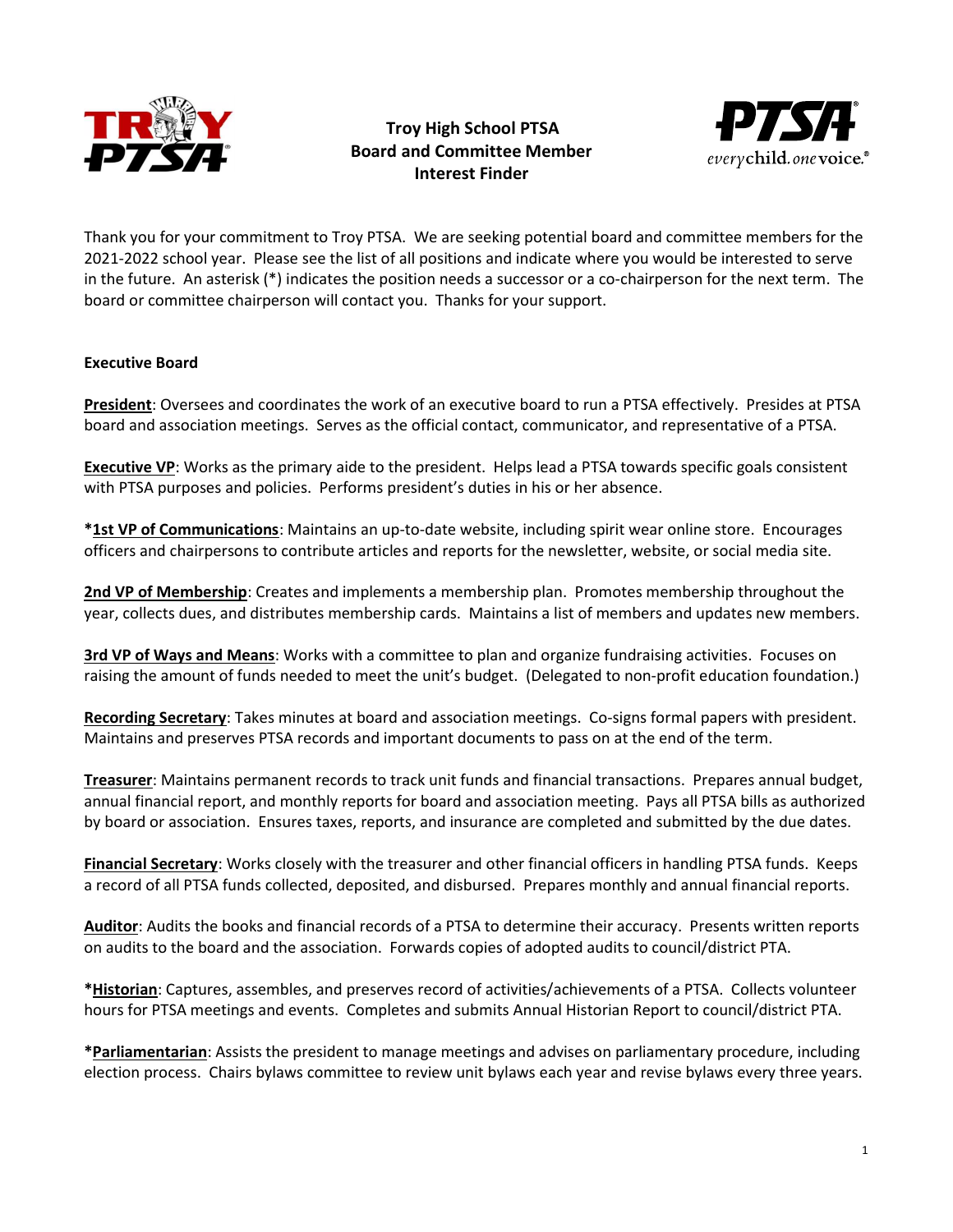

## Troy High School PTSA Board and Committee Member Interest Finder



Thank you for your commitment to Troy PTSA. We are seeking potential board and committee members for the 2021-2022 school year. Please see the list of all positions and indicate where you would be interested to serve in the future. An asterisk (\*) indicates the position needs a successor or a co-chairperson for the next term. The board or committee chairperson will contact you. Thanks for your support.

## Executive Board

President: Oversees and coordinates the work of an executive board to run a PTSA effectively. Presides at PTSA board and association meetings. Serves as the official contact, communicator, and representative of a PTSA.

**Executive VP**: Works as the primary aide to the president. Helps lead a PTSA towards specific goals consistent with PTSA purposes and policies. Performs president's duties in his or her absence.

\*1st VP of Communications: Maintains an up-to-date website, including spirit wear online store. Encourages officers and chairpersons to contribute articles and reports for the newsletter, website, or social media site.

2nd VP of Membership: Creates and implements a membership plan. Promotes membership throughout the year, collects dues, and distributes membership cards. Maintains a list of members and updates new members.

3rd VP of Ways and Means: Works with a committee to plan and organize fundraising activities. Focuses on raising the amount of funds needed to meet the unit's budget. (Delegated to non-profit education foundation.)

Recording Secretary: Takes minutes at board and association meetings. Co-signs formal papers with president. Maintains and preserves PTSA records and important documents to pass on at the end of the term.

Treasurer: Maintains permanent records to track unit funds and financial transactions. Prepares annual budget, annual financial report, and monthly reports for board and association meeting. Pays all PTSA bills as authorized by board or association. Ensures taxes, reports, and insurance are completed and submitted by the due dates.

Financial Secretary: Works closely with the treasurer and other financial officers in handling PTSA funds. Keeps a record of all PTSA funds collected, deposited, and disbursed. Prepares monthly and annual financial reports.

Auditor: Audits the books and financial records of a PTSA to determine their accuracy. Presents written reports on audits to the board and the association. Forwards copies of adopted audits to council/district PTA.

\*Historian: Captures, assembles, and preserves record of activities/achievements of a PTSA. Collects volunteer hours for PTSA meetings and events. Completes and submits Annual Historian Report to council/district PTA.

\*Parliamentarian: Assists the president to manage meetings and advises on parliamentary procedure, including election process. Chairs bylaws committee to review unit bylaws each year and revise bylaws every three years.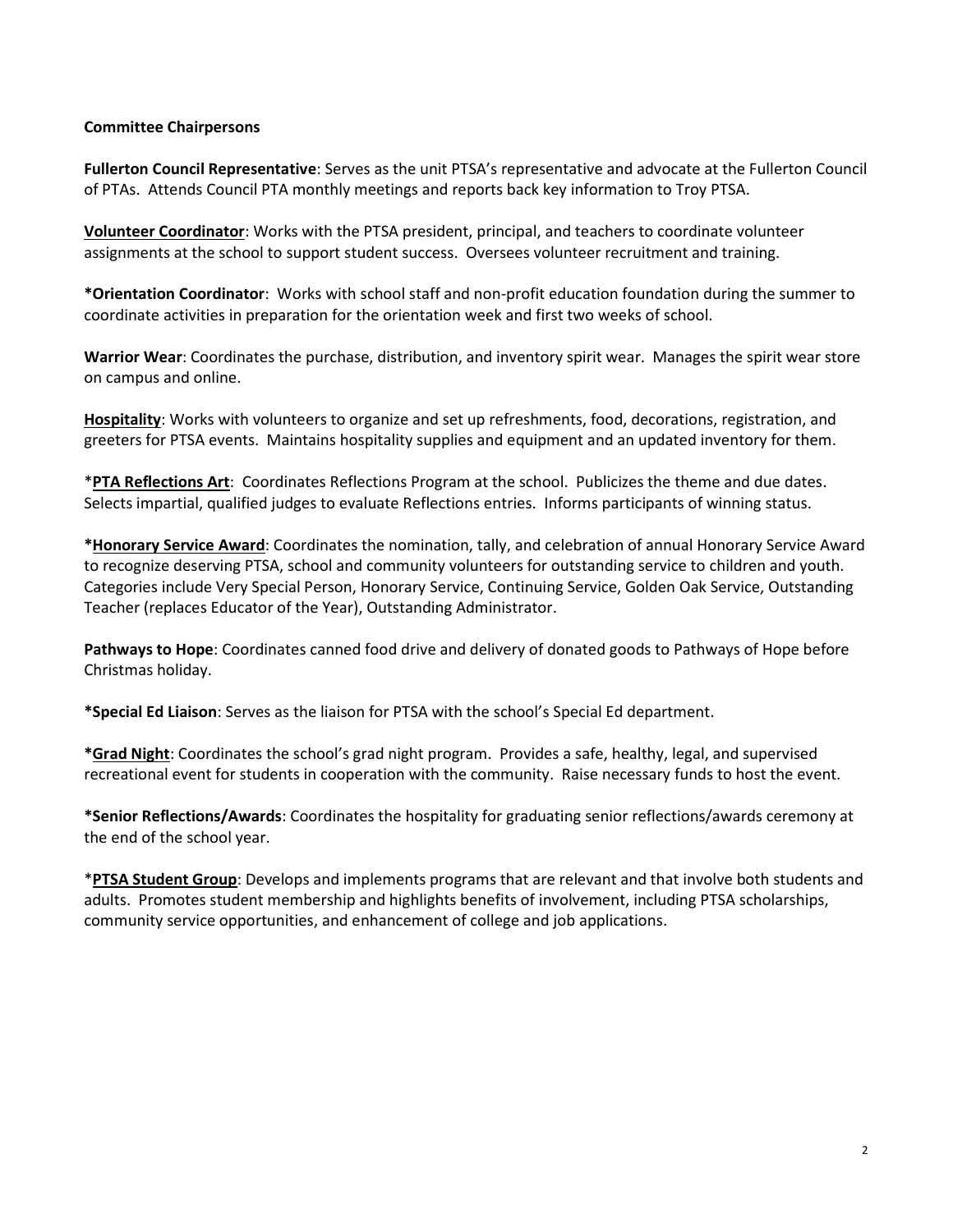## Committee Chairpersons

Fullerton Council Representative: Serves as the unit PTSA's representative and advocate at the Fullerton Council of PTAs. Attends Council PTA monthly meetings and reports back key information to Troy PTSA.

Volunteer Coordinator: Works with the PTSA president, principal, and teachers to coordinate volunteer assignments at the school to support student success. Oversees volunteer recruitment and training.

\*Orientation Coordinator: Works with school staff and non-profit education foundation during the summer to coordinate activities in preparation for the orientation week and first two weeks of school.

Warrior Wear: Coordinates the purchase, distribution, and inventory spirit wear. Manages the spirit wear store on campus and online.

Hospitality: Works with volunteers to organize and set up refreshments, food, decorations, registration, and greeters for PTSA events. Maintains hospitality supplies and equipment and an updated inventory for them.

\*PTA Reflections Art: Coordinates Reflections Program at the school. Publicizes the theme and due dates. Selects impartial, qualified judges to evaluate Reflections entries. Informs participants of winning status.

\*Honorary Service Award: Coordinates the nomination, tally, and celebration of annual Honorary Service Award to recognize deserving PTSA, school and community volunteers for outstanding service to children and youth. Categories include Very Special Person, Honorary Service, Continuing Service, Golden Oak Service, Outstanding Teacher (replaces Educator of the Year), Outstanding Administrator.

Pathways to Hope: Coordinates canned food drive and delivery of donated goods to Pathways of Hope before Christmas holiday.

\*Special Ed Liaison: Serves as the liaison for PTSA with the school's Special Ed department.

\*Grad Night: Coordinates the school's grad night program. Provides a safe, healthy, legal, and supervised recreational event for students in cooperation with the community. Raise necessary funds to host the event.

\*Senior Reflections/Awards: Coordinates the hospitality for graduating senior reflections/awards ceremony at the end of the school year.

\*PTSA Student Group: Develops and implements programs that are relevant and that involve both students and adults. Promotes student membership and highlights benefits of involvement, including PTSA scholarships, community service opportunities, and enhancement of college and job applications.